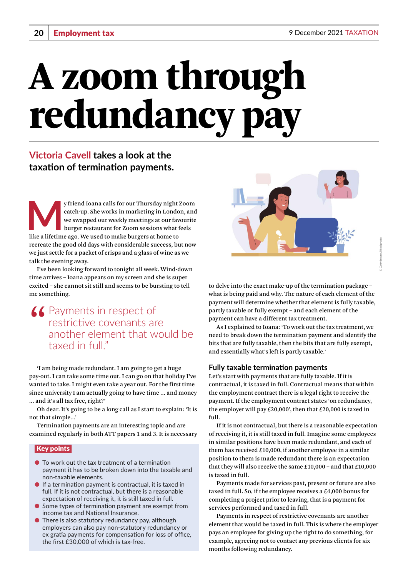# A zoom through redundancy pay

# **Victoria Cavell takes a look at the taxation of termination payments.**

y friend Ioana calls for our Thursday night Zoom<br>catch-up. She works in marketing in London, and<br>we swapped our weekly meetings at our favourite<br>burger restaurant for Zoom sessions what feels<br>like a lifetime ago. We used t catch-up. She works in marketing in London, and we swapped our weekly meetings at our favourite burger restaurant for Zoom sessions what feels like a lifetime ago. We used to make burgers at home to recreate the good old days with considerable success, but now we just settle for a packet of crisps and a glass of wine as we talk the evening away.

I've been looking forward to tonight all week. Wind-down time arrives – Ioana appears on my screen and she is super excited – she cannot sit still and seems to be bursting to tell me something.

# **44** Payments in respect of restrictive covenants are another element that would be taxed in full."

'I am being made redundant. I am going to get a huge pay-out. I can take some time out. I can go on that holiday I've wanted to take. I might even take a year out. For the first time since university I am actually going to have time … and money … and it's all tax free, right?'

Oh dear. It's going to be a long call as I start to explain: 'It is not that simple…'

Termination payments are an interesting topic and are examined regularly in both ATT papers 1 and 3. It is necessary

#### Key points

- To work out the tax treatment of a termination payment it has to be broken down into the taxable and non-taxable elements.
- $\bullet$  If a termination payment is contractual, it is taxed in full. If it is not contractual, but there is a reasonable expectation of receiving it, it is still taxed in full.
- Some types of termination payment are exempt from income tax and National Insurance.
- There is also statutory redundancy pay, although employers can also pay non-statutory redundancy or ex gratia payments for compensation for loss of office, the first £30,000 of which is tax-free.



© Getty images/iStockphoto

to delve into the exact make-up of the termination package – what is being paid and why. The nature of each element of the payment will determine whether that element is fully taxable, partly taxable or fully exempt – and each element of the payment can have a different tax treatment.

As I explained to Ioana: 'To work out the tax treatment, we need to break down the termination payment and identify the bits that are fully taxable, then the bits that are fully exempt, and essentially what's left is partly taxable.'

#### **Fully taxable termination payments**

Let's start with payments that are fully taxable. If it is contractual, it is taxed in full. Contractual means that within the employment contract there is a legal right to receive the payment. If the employment contract states 'on redundancy, the employer will pay  $£20,000$ ', then that  $£20,000$  is taxed in full.

If it is not contractual, but there is a reasonable expectation of receiving it, it is still taxed in full. Imagine some employees in similar positions have been made redundant, and each of them has received  $E10,000$ , if another employee in a similar position to them is made redundant there is an expectation that they will also receive the same  $£10,000 -$  and that  $£10,000$ is taxed in full.

Payments made for services past, present or future are also taxed in full. So, if the employee receives a £4,000 bonus for completing a project prior to leaving, that is a payment for services performed and taxed in full.

Payments in respect of restrictive covenants are another element that would be taxed in full. This is where the employer pays an employee for giving up the right to do something, for example, agreeing not to contact any previous clients for six months following redundancy.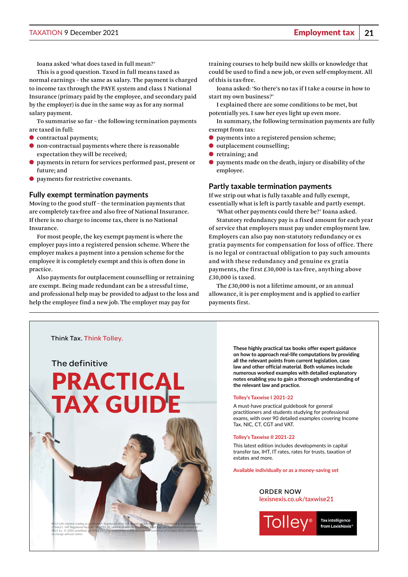Ioana asked 'what does taxed in full mean?'

This is a good question. Taxed in full means taxed as normal earnings – the same as salary. The payment is charged to income tax through the PAYE system and class 1 National Insurance (primary paid by the employee, and secondary paid by the employer) is due in the same way as for any normal salary payment.

To summarise so far – the following termination payments are taxed in full:

- contractual payments;
- $\bullet$  non-contractual payments where there is reasonable expectation they will be received;
- payments in return for services performed past, present or future; and
- payments for restrictive covenants.

#### **Fully exempt termination payments**

Moving to the good stuff – the termination payments that are completely tax-free and also free of National Insurance. If there is no charge to income tax, there is no National Insurance.

For most people, the key exempt payment is where the employer pays into a registered pension scheme. Where the employer makes a payment into a pension scheme for the employee it is completely exempt and this is often done in practice.

Also payments for outplacement counselling or retraining are exempt. Being made redundant can be a stressful time, and professional help may be provided to adjust to the loss and help the employee find a new job. The employer may pay for

training courses to help build new skills or knowledge that could be used to find a new job, or even self-employment. All of this is tax-free.

Ioana asked: 'So there's no tax if I take a course in how to start my own business?'

I explained there are some conditions to be met, but potentially yes. I saw her eyes light up even more.

In summary, the following termination payments are fully exempt from tax:

- payments into a registered pension scheme;
- outplacement counselling;
- retraining; and
- payments made on the death, injury or disability of the employee.

#### **Partly taxable termination payments**

If we strip out what is fully taxable and fully exempt, essentially what is left is partly taxable and partly exempt.

'What other payments could there be?' Ioana asked. Statutory redundancy pay is a fixed amount for each year

of service that employers must pay under employment law. Employers can also pay non-statutory redundancy or ex gratia payments for compensation for loss of office. There is no legal or contractual obligation to pay such amounts and with these redundancy and genuine ex gratia payments, the first  $£30,000$  is tax-free, anything above £30,000 is taxed.

The £30,000 is not a lifetime amount, or an annual allowance, it is per employment and is applied to earlier payments first.

Think Tax. Think Tolley.

The definitive

to change without notice.

# [PRACTICAL](https://www.lexisnexis.co.uk/store/categories/tax/tolley-s-taxwise-2021-22-426?utm_source=advert&utm_medium=advert&utm_content=_&utm_campaign=102886_tolleystaxwise202122) **TAX GUI**

RELX (UK) Limited, trading as LexisNexis®. Registered office 1-3 Strand London WC2N 5JR. Registered in England number 2746621. VAT Registered No. GB 730 8595 20. LexisNexis and the Knowledge Burst logo are registered trademarks of RELX Inc. © 2021 LexisNexis SA-0921-017. The information in this document is current as of October 2021 and is subject **These highly practical tax books offer expert guidance on how to approach real-life computations by providing all the relevant points from current legislation, case law and other official material. Both volumes include numerous worked examples with detailed explanatory notes enabling you to gain a thorough understanding of the relevant law and practice.**

#### **Tolley's Taxwise I 2021-22**

A must-have practical guidebook for general practitioners and students studying for professional exams, with over 90 detailed examples covering Income Tax, NIC, CT, CGT and VAT.

#### **Tolley's Taxwise II 2021-22**

This latest edition includes developments in capital transfer tax, IHT, IT rates, rates for trusts, taxation of estates and more.

**Available individually or as a money-saving set**

#### **ORDER NOW lexisnexis.co.uk/taxwise21**



**Tax intelligence** from LexisNexis